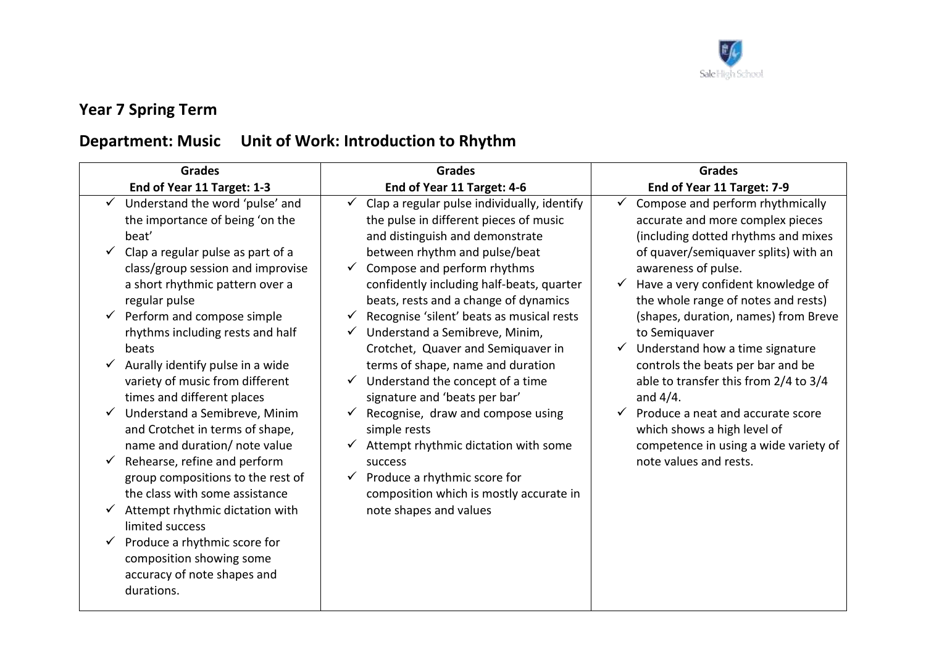

## **Year 7 Spring Term**

## **Department: Music Unit of Work: Introduction to Rhythm**

| <b>Grades</b>                                                                                                              | <b>Grades</b>                                                                                                                                      | <b>Grades</b>                                                                                                                            |
|----------------------------------------------------------------------------------------------------------------------------|----------------------------------------------------------------------------------------------------------------------------------------------------|------------------------------------------------------------------------------------------------------------------------------------------|
| End of Year 11 Target: 1-3                                                                                                 | End of Year 11 Target: 4-6                                                                                                                         | End of Year 11 Target: 7-9                                                                                                               |
| Understand the word 'pulse' and<br>the importance of being 'on the<br>beat'                                                | Clap a regular pulse individually, identify<br>the pulse in different pieces of music<br>and distinguish and demonstrate                           | Compose and perform rhythmically<br>accurate and more complex pieces<br>(including dotted rhythms and mixes                              |
| Clap a regular pulse as part of a<br>class/group session and improvise<br>a short rhythmic pattern over a<br>regular pulse | between rhythm and pulse/beat<br>Compose and perform rhythms<br>confidently including half-beats, quarter<br>beats, rests and a change of dynamics | of quaver/semiquaver splits) with an<br>awareness of pulse.<br>Have a very confident knowledge of<br>the whole range of notes and rests) |
| Perform and compose simple<br>$\checkmark$<br>rhythms including rests and half<br>beats                                    | Recognise 'silent' beats as musical rests<br>Understand a Semibreve, Minim,<br>Crotchet, Quaver and Semiquaver in                                  | (shapes, duration, names) from Breve<br>to Semiguaver<br>Understand how a time signature                                                 |
| Aurally identify pulse in a wide<br>✓<br>variety of music from different<br>times and different places                     | terms of shape, name and duration<br>Understand the concept of a time<br>signature and 'beats per bar'                                             | controls the beats per bar and be<br>able to transfer this from 2/4 to 3/4<br>and $4/4$ .                                                |
| Understand a Semibreve, Minim<br>✓<br>and Crotchet in terms of shape,<br>name and duration/ note value                     | Recognise, draw and compose using<br>simple rests<br>Attempt rhythmic dictation with some                                                          | Produce a neat and accurate score<br>which shows a high level of<br>competence in using a wide variety of                                |
| Rehearse, refine and perform<br>$\checkmark$<br>group compositions to the rest of<br>the class with some assistance        | success<br>Produce a rhythmic score for<br>$\checkmark$<br>composition which is mostly accurate in                                                 | note values and rests.                                                                                                                   |
| Attempt rhythmic dictation with<br>limited success                                                                         | note shapes and values                                                                                                                             |                                                                                                                                          |
| Produce a rhythmic score for<br>✓<br>composition showing some<br>accuracy of note shapes and<br>durations.                 |                                                                                                                                                    |                                                                                                                                          |